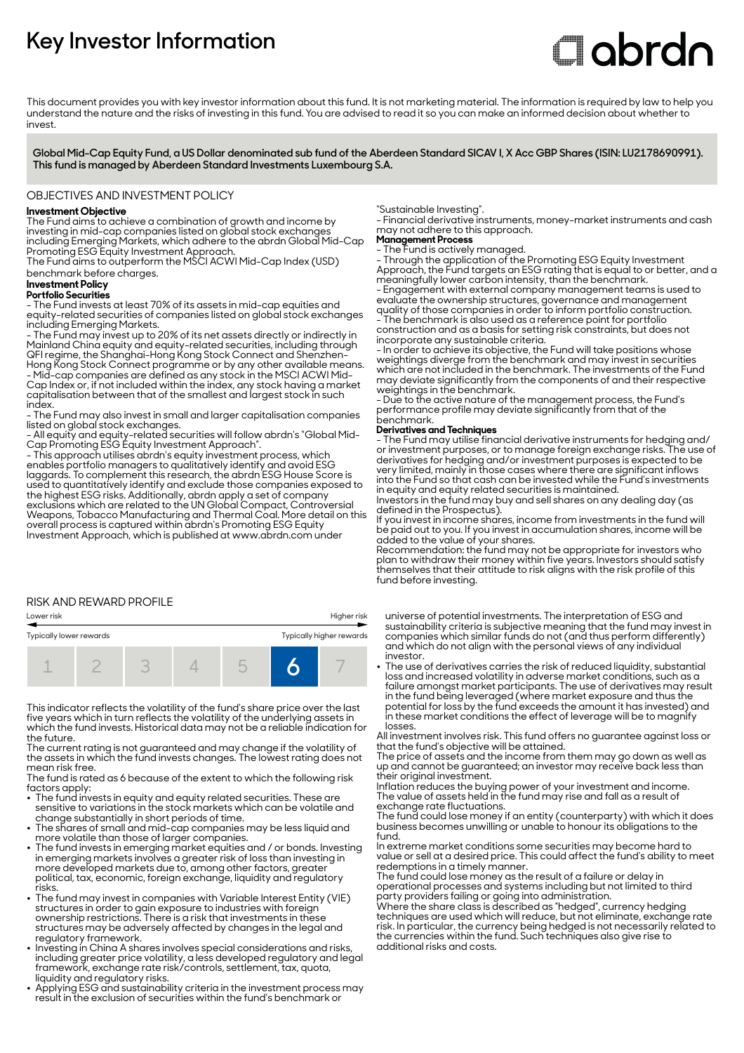# **Key Investor Information**

# **Clobrdn**

This document provides you with key investor information about this fund. It is not marketing material. The information is required by law to help you understand the nature and the risks of investing in this fund. You are advised to read it so you can make an informed decision about whether to invest

**Global Mid-Cap Equity Fund, a US Dollar denominated sub fund of the Aberdeen Standard SICAV I, X Acc GBP Shares (ISIN: LU2178690991). This fund is managed by Aberdeen Standard Investments Luxembourg S.A.**

#### OBJECTIVES AND INVESTMENT POLICY

#### **Investment Objective**

The Fund aims to achieve a combination of growth and income by investing in mid-cap companies listed on global stock exchanges including Emerging Markets, which adhere to the abrdn Global Mid-Cap Promoting ESG Equity Investment Approach.

The Fund aims to outperform the MSCI ACWI Mid-Cap Index (USD) benchmark before charges.

## **Investment Policy**

**Portfolio Securities**

- The Fund invests at least 70% of its assets in mid-cap equities and equity-related securities of companies listed on global stock exchanges including Emerging Markets.

- The Fund may invest up to 20% of its net assets directly or indirectly in Mainland China equity and equity-related securities, including through QFI regime, the Shanghai-Hong Kong Stock Connect and Shenzhen-Hong Kong Stock Connect programme or by any other available means. - Mid-cap companies are defined as any stock in the MSCI ACWI Mid-Cap Index or, if not included within the index, any stock having a market capitalisation between that of the smallest and largest stock in such index.

- The Fund may also invest in small and larger capitalisation companies listed on global stock exchanges.

- All equity and equity-related securities will follow abrdn's "Global Mid-Cap Promoting ESG Equity Investment Approach".

- This approach utilises abrdn's equity investment process, which enables portfolio managers to qualitatively identify and avoid ESG laggards. To complement this research, the abrdn ESG House Score is used to quantitatively identify and exclude those companies exposed to the highest ESG risks. Additionally, abrdn apply a set of company exclusions which are related to the UN Global Compact, Controversial Weapons, Tobacco Manufacturing and Thermal Coal. More detail on this overall process is captured within abrdn's Promoting ESG Equity Investment Approach, which is published at www.abrdn.com under

#### RISK AND REWARD PROFILE



This indicator reflects the volatility of the fund's share price over the last five years which in turn reflects the volatility of the underlying assets in which the fund invests. Historical data may not be a reliable indication for the future.

The current rating is not guaranteed and may change if the volatility of the assets in which the fund invests changes. The lowest rating does not mean risk free.

The fund is rated as 6 because of the extent to which the following risk factors apply:

- $\bullet~$  The fund invests in equity and equity related securities. These are sensitive to variations in the stock markets which can be volatile and change substantially in short periods of time.
- The shares of small and mid-cap companies may be less liquid and more volatile than those of larger companies.
- The fund invests in emerging market equities and / or bonds. Investing in emerging markets involves a greater risk of loss than investing in more developed markets due to, among other factors, greater political, tax, economic, foreign exchange, liquidity and regulatory risks.
- The fund may invest in companies with Variable Interest Entity (VIE) structures in order to gain exposure to industries with foreign ownership restrictions. There is a risk that investments in these structures may be adversely affected by changes in the legal and regulatory framework.
- 2 Investing in China A shares involves special considerations and risks, including greater price volatility, a less developed regulatory and legal framework, exchange rate risk/controls, settlement, tax, quota,
- liquidity and regulatory risks. 2 Applying ESG and sustainability criteria in the investment process may result in the exclusion of securities within the fund's benchmark or

"Sustainable Investing".

- Financial derivative instruments, money-market instruments and cash may not adhere to this approach.

**Management Process**

- The Fund is actively managed. - Through the application of the Promoting ESG Equity Investment

Approach, the Fund targets an ESG rating that is equal to or better, and a meaningfully lower carbon intensity, than the benchmark.

- Engagement with external company management teams is used to evaluate the ownership structures, governance and management quality of those companies in order to inform portfolio construction. - The benchmark is also used as a reference point for portfolio construction and as a basis for setting risk constraints, but does not

incorporate any sustainable criteria.

- In order to achieve its objective, the Fund will take positions whose weightings diverge from the benchmark and may invest in securities which are not included in the benchmark. The investments of the Fund may deviate significantly from the components of and their respective weightings in the benchmark.

- Due to the active nature of the management process, the Fund's performance profile may deviate significantly from that of the benchmark.

#### **Derivatives and Techniques**

- The Fund may utilise financial derivative instruments for hedging and/ or investment purposes, or to manage foreign exchange risks. The use of derivatives for hedging and/or investment purposes is expected to be very limited, mainly in those cases where there are significant inflows into the Fund so that cash can be invested while the Fund's investments in equity and equity related securities is maintained.

Investors in the fund may buy and sell shares on any dealing day (as defined in the Prospectus).

If you invest in income shares, income from investments in the fund will be paid out to you. If you invest in accumulation shares, income will be added to the value of your shares.

Recommendation: the fund may not be appropriate for investors who plan to withdraw their money within five years. Investors should satisfy themselves that their attitude to risk aligns with the risk profile of this fund before investing.

universe of potential investments. The interpretation of ESG and sustainability criteria is subjective meaning that the fund may invest in companies which similar funds do not (and thus perform differently) and which do not align with the personal views of any individual investor.

• The use of derivatives carries the risk of reduced liquidity, substantial loss and increased volatility in adverse market conditions, such as a failure amongst market participants. The use of derivatives may result in the fund being leveraged (where market exposure and thus the potential for loss by the fund exceeds the amount it has invested) and in these market conditions the effect of leverage will be to magnify losses.

All investment involves risk. This fund offers no guarantee against loss or that the fund's objective will be attained.

The price of assets and the income from them may go down as well as up and cannot be guaranteed; an investor may receive back less than their original investment.

Inflation reduces the buying power of your investment and income. The value of assets held in the fund may rise and fall as a result of exchange rate fluctuations.

The fund could lose money if an entity (counterparty) with which it does business becomes unwilling or unable to honour its obligations to the fund.

In extreme market conditions some securities may become hard to value or sell at a desired price. This could affect the fund's ability to meet redemptions in a timely manner.

The fund could lose money as the result of a failure or delay in operational processes and systems including but not limited to third party providers failing or going into administration.

Where the share class is described as "hedged", currency hedging techniques are used which will reduce, but not eliminate, exchange rate risk. In particular, the currency being hedged is not necessarily related to the currencies within the fund. Such techniques also give rise to additional risks and costs.